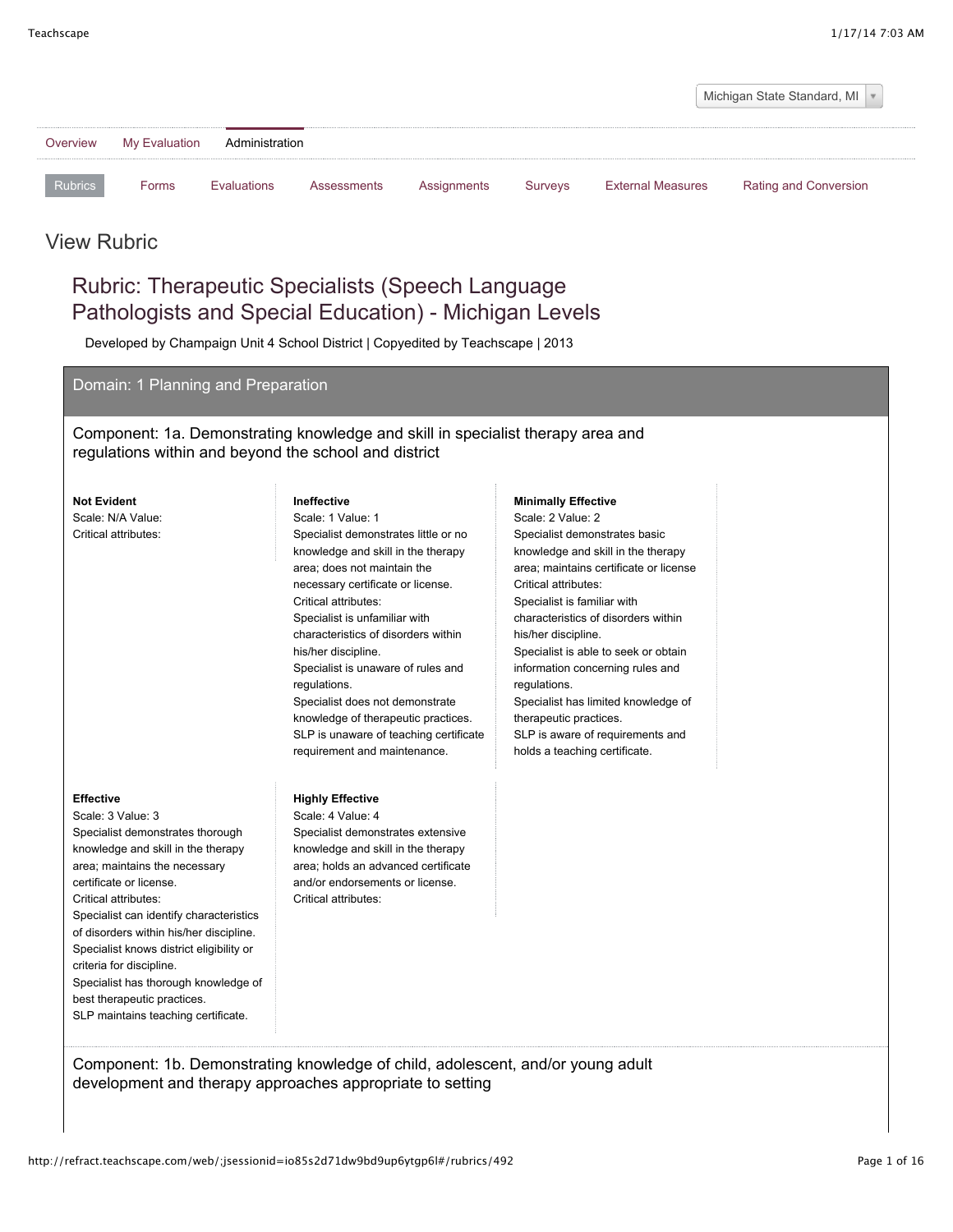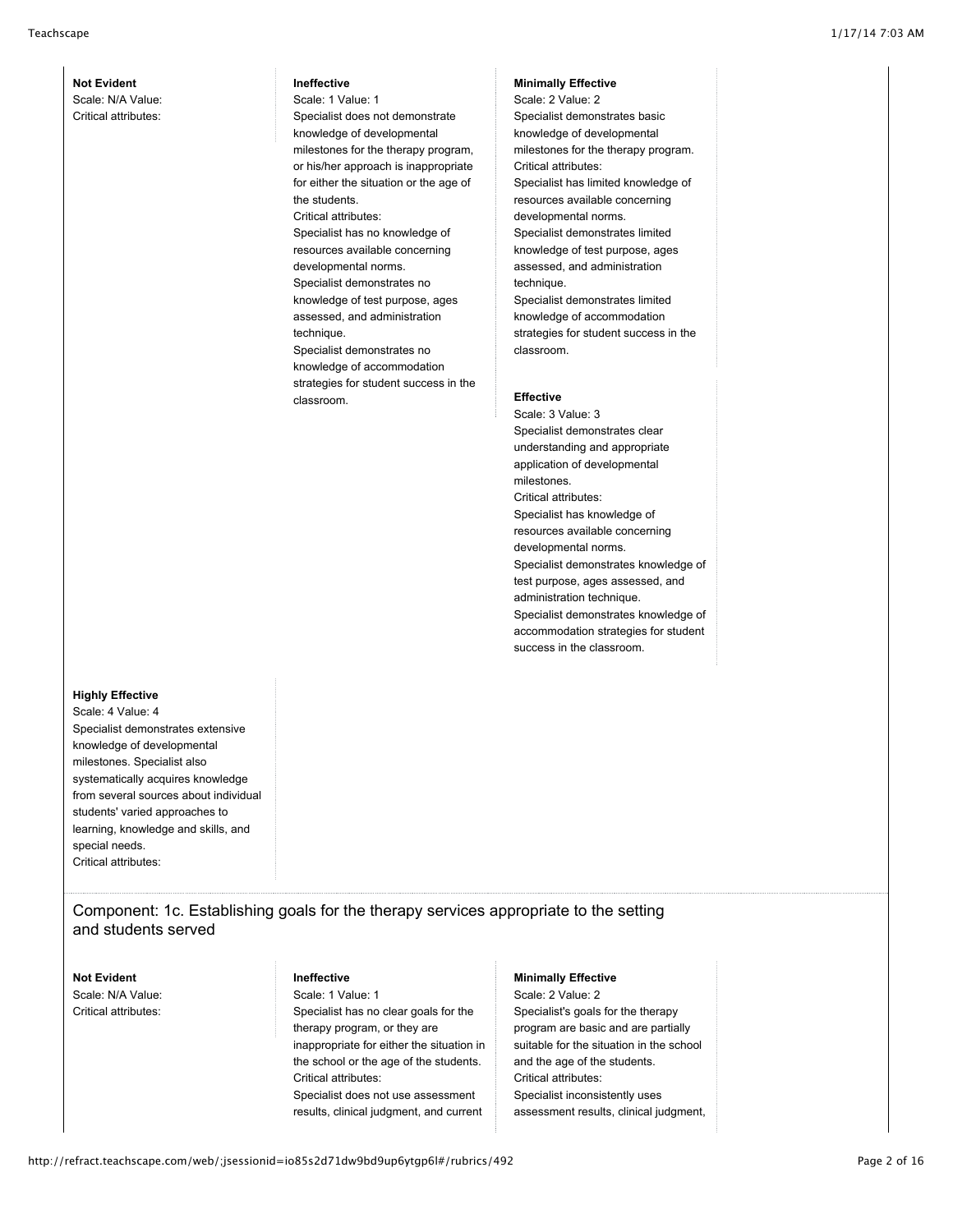Scale: 1 Value: 1 Specialist does not demonstrate knowledge of developmental milestones for the therapy program, or his/her approach is inappropriate for either the situation or the age of the students. Critical attributes:

Specialist has no knowledge of resources available concerning developmental norms. Specialist demonstrates no knowledge of test purpose, ages assessed, and administration technique.

Specialist demonstrates no knowledge of accommodation strategies for student success in the classroom.

#### **Minimally Effective**

Scale: 2 Value: 2 Specialist demonstrates basic knowledge of developmental milestones for the therapy program. Critical attributes: Specialist has limited knowledge of resources available concerning developmental norms. Specialist demonstrates limited knowledge of test purpose, ages assessed, and administration technique.

Specialist demonstrates limited knowledge of accommodation strategies for student success in the classroom.

#### **Effective**

Scale: 3 Value: 3 Specialist demonstrates clear understanding and appropriate application of developmental milestones. Critical attributes: Specialist has knowledge of resources available concerning developmental norms. Specialist demonstrates knowledge of test purpose, ages assessed, and administration technique. Specialist demonstrates knowledge of accommodation strategies for student success in the classroom.

# **Highly Effective**

Scale: 4 Value: 4 Specialist demonstrates extensive knowledge of developmental milestones. Specialist also systematically acquires knowledge from several sources about individual students' varied approaches to learning, knowledge and skills, and special needs. Critical attributes:

Component: 1c. Establishing goals for the therapy services appropriate to the setting and students served

**Not Evident** Scale: N/A Value: Critical attributes:

# **Ineffective**

Scale: 1 Value: 1 Specialist has no clear goals for the therapy program, or they are inappropriate for either the situation in the school or the age of the students. Critical attributes: Specialist does not use assessment results, clinical judgment, and current

# **Minimally Effective**

Scale: 2 Value: 2 Specialist's goals for the therapy program are basic and are partially suitable for the situation in the school and the age of the students. Critical attributes: Specialist inconsistently uses assessment results, clinical judgment,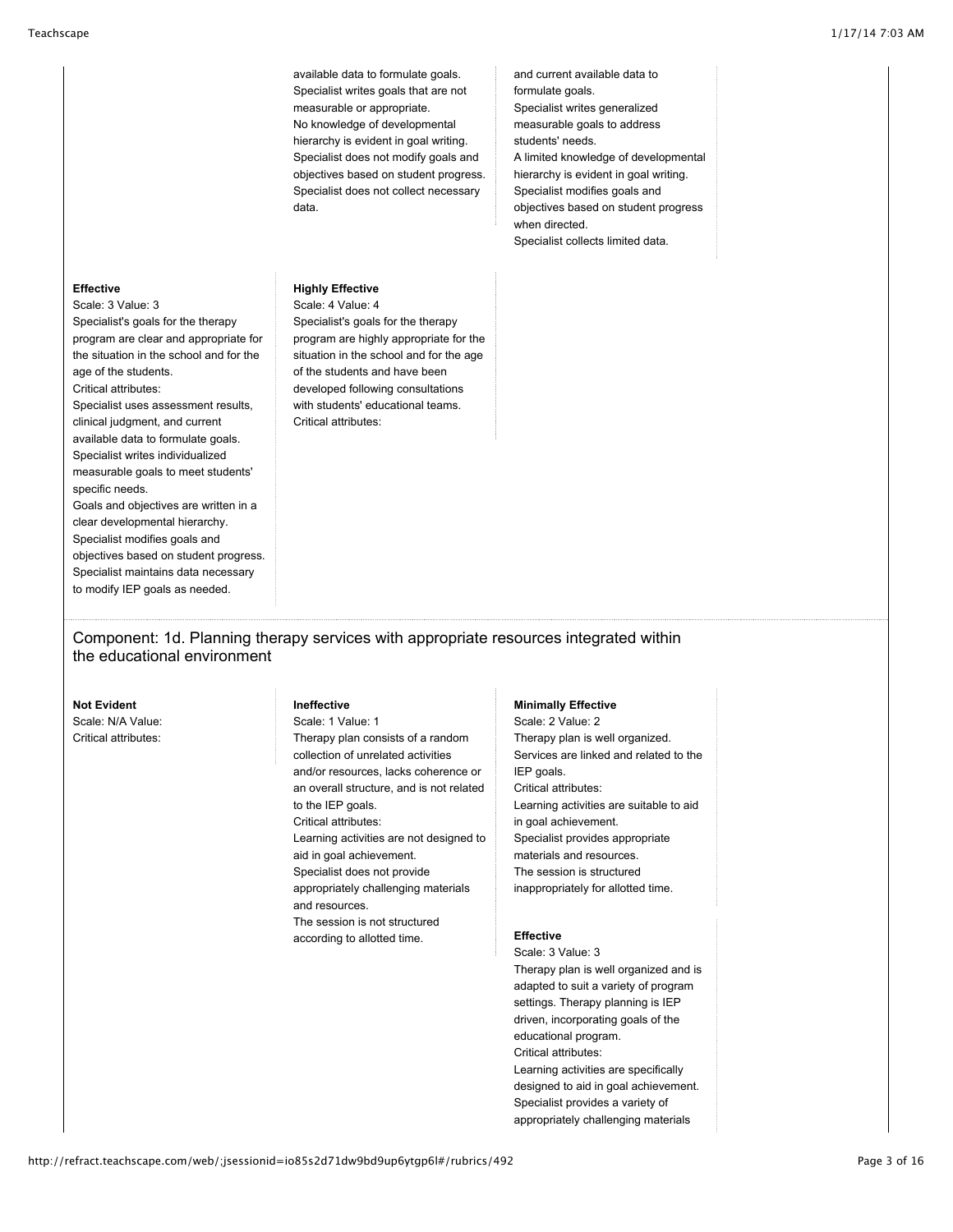available data to formulate goals. Specialist writes goals that are not measurable or appropriate. No knowledge of developmental hierarchy is evident in goal writing. Specialist does not modify goals and objectives based on student progress. Specialist does not collect necessary data.

and current available data to formulate goals. Specialist writes generalized measurable goals to address students' needs. A limited knowledge of developmental hierarchy is evident in goal writing. Specialist modifies goals and objectives based on student progress when directed. Specialist collects limited data.

### **Effective**

Scale: 3 Value: 3

- Specialist's goals for the therapy program are clear and appropriate for the situation in the school and for the age of the students.
- Critical attributes:
- Specialist uses assessment results, clinical judgment, and current available data to formulate goals. Specialist writes individualized
- measurable goals to meet students' specific needs. Goals and objectives are written in a
- clear developmental hierarchy. Specialist modifies goals and objectives based on student progress. Specialist maintains data necessary to modify IEP goals as needed.

### **Highly Effective**

Scale: 4 Value: 4 Specialist's goals for the therapy program are highly appropriate for the situation in the school and for the age of the students and have been developed following consultations with students' educational teams. Critical attributes:

# Component: 1d. Planning therapy services with appropriate resources integrated within the educational environment

#### **Not Evident**

Scale: N/A Value: Critical attributes:

### **Ineffective**

Scale: 1 Value: 1 Therapy plan consists of a random collection of unrelated activities and/or resources, lacks coherence or an overall structure, and is not related to the IEP goals. Critical attributes: Learning activities are not designed to aid in goal achievement. Specialist does not provide appropriately challenging materials and resources. The session is not structured according to allotted time.

#### **Minimally Effective**

Scale: 2 Value: 2 Therapy plan is well organized. Services are linked and related to the IEP goals. Critical attributes: Learning activities are suitable to aid in goal achievement. Specialist provides appropriate materials and resources. The session is structured inappropriately for allotted time.

#### **Effective**

Scale: 3 Value: 3 Therapy plan is well organized and is adapted to suit a variety of program settings. Therapy planning is IEP driven, incorporating goals of the educational program. Critical attributes: Learning activities are specifically designed to aid in goal achievement. Specialist provides a variety of appropriately challenging materials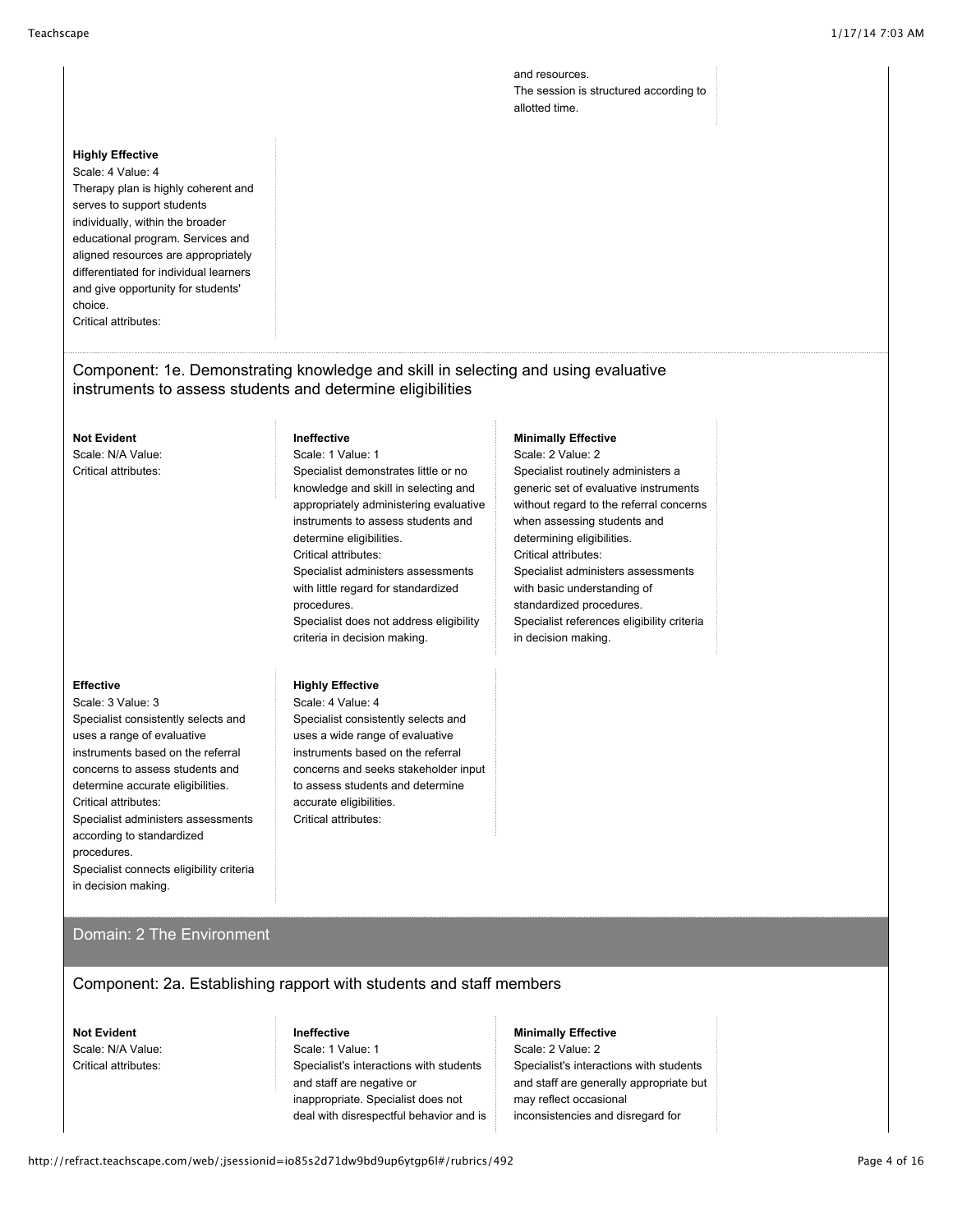and resources. The session is structured according to allotted time.

## **Highly Effective**

Scale: 4 Value: 4 Therapy plan is highly coherent and serves to support students individually, within the broader educational program. Services and aligned resources are appropriately differentiated for individual learners and give opportunity for students' choice.

Critical attributes:

# Component: 1e. Demonstrating knowledge and skill in selecting and using evaluative instruments to assess students and determine eligibilities

**Not Evident** Scale: N/A Value: Critical attributes:

## **Ineffective**

Scale: 1 Value: 1 Specialist demonstrates little or no knowledge and skill in selecting and appropriately administering evaluative instruments to assess students and determine eligibilities. Critical attributes: Specialist administers assessments with little regard for standardized procedures. Specialist does not address eligibility criteria in decision making.

#### **Effective**

Scale: 3 Value: 3 Specialist consistently selects and uses a range of evaluative instruments based on the referral concerns to assess students and determine accurate eligibilities. Critical attributes: Specialist administers assessments according to standardized procedures. Specialist connects eligibility criteria

# **Highly Effective**

Scale: 4 Value: 4 Specialist consistently selects and uses a wide range of evaluative instruments based on the referral concerns and seeks stakeholder input to assess students and determine accurate eligibilities. Critical attributes:

# **Minimally Effective**

Scale: 2 Value: 2 Specialist routinely administers a generic set of evaluative instruments without regard to the referral concerns when assessing students and determining eligibilities. Critical attributes: Specialist administers assessments with basic understanding of standardized procedures. Specialist references eligibility criteria in decision making.

# Domain: 2 The Environment

# Component: 2a. Establishing rapport with students and staff members

**Not Evident** Scale: N/A Value: Critical attributes:

in decision making.

# **Ineffective**

Scale: 1 Value: 1 Specialist's interactions with students and staff are negative or inappropriate. Specialist does not deal with disrespectful behavior and is

#### **Minimally Effective**

Scale: 2 Value: 2 Specialist's interactions with students and staff are generally appropriate but may reflect occasional inconsistencies and disregard for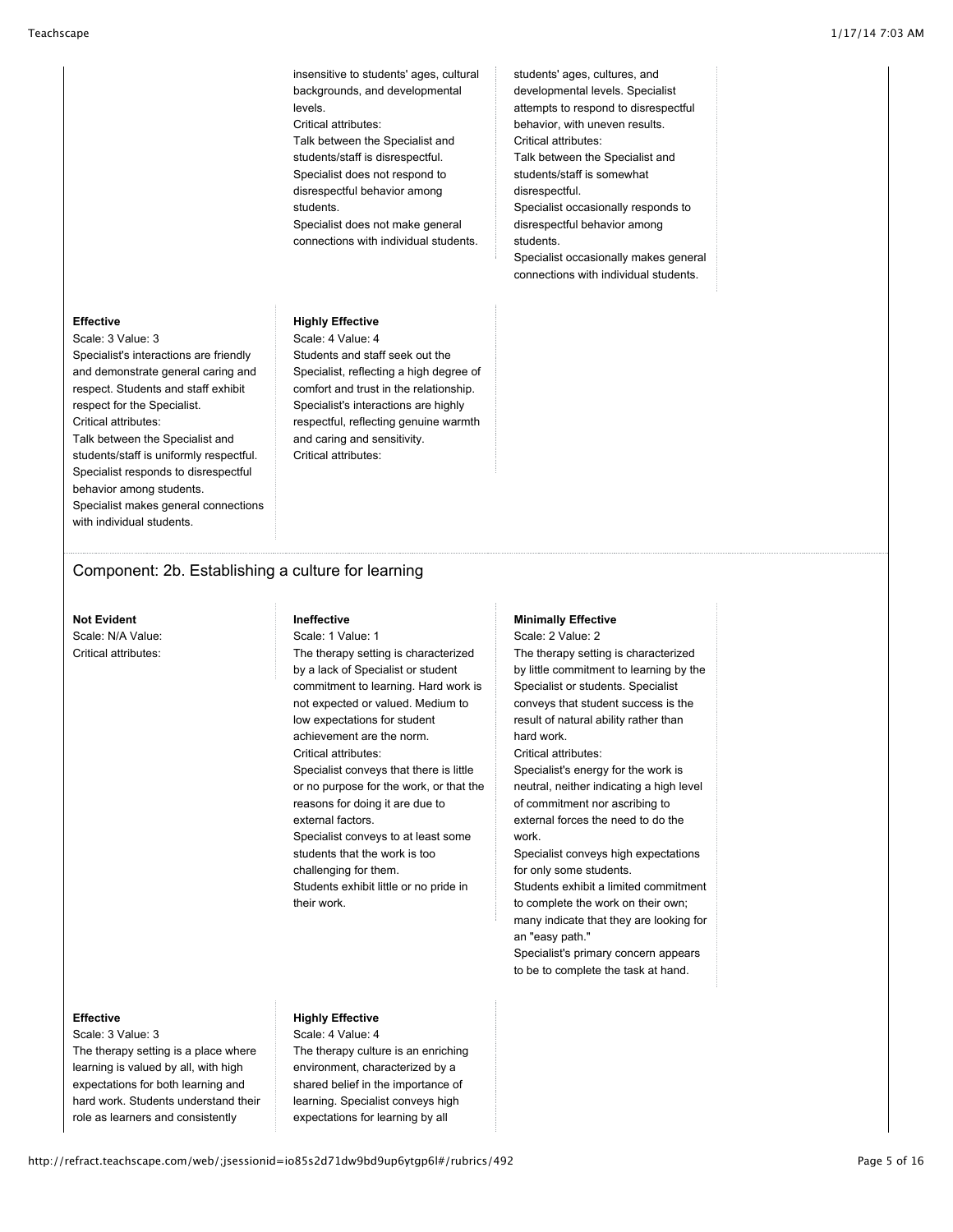insensitive to students' ages, cultural backgrounds, and developmental levels.

Critical attributes:

Talk between the Specialist and students/staff is disrespectful. Specialist does not respond to disrespectful behavior among students.

Specialist does not make general connections with individual students. students' ages, cultures, and developmental levels. Specialist attempts to respond to disrespectful behavior, with uneven results. Critical attributes:

Talk between the Specialist and students/staff is somewhat disrespectful.

Specialist occasionally responds to

disrespectful behavior among students.

Specialist occasionally makes general connections with individual students.

#### **Effective**

Scale: 3 Value: 3 Specialist's interactions are friendly and demonstrate general caring and respect. Students and staff exhibit respect for the Specialist. Critical attributes: Talk between the Specialist and

students/staff is uniformly respectful. Specialist responds to disrespectful behavior among students. Specialist makes general connections with individual students.

#### **Highly Effective**

Scale: 4 Value: 4 Students and staff seek out the Specialist, reflecting a high degree of comfort and trust in the relationship. Specialist's interactions are highly respectful, reflecting genuine warmth and caring and sensitivity. Critical attributes:

### Component: 2b. Establishing a culture for learning

# **Not Evident** Scale: N/A Value:

Critical attributes:

#### **Ineffective** Scale: 1 Value: 1

The therapy setting is characterized by a lack of Specialist or student commitment to learning. Hard work is not expected or valued. Medium to low expectations for student achievement are the norm. Critical attributes: Specialist conveys that there is little or no purpose for the work, or that the reasons for doing it are due to external factors. Specialist conveys to at least some students that the work is too challenging for them. Students exhibit little or no pride in their work.

#### **Minimally Effective**

Scale: 2 Value: 2 The therapy setting is characterized by little commitment to learning by the Specialist or students. Specialist conveys that student success is the result of natural ability rather than hard work.

Critical attributes:

Specialist's energy for the work is neutral, neither indicating a high level of commitment nor ascribing to external forces the need to do the work.

Specialist conveys high expectations for only some students. Students exhibit a limited commitment to complete the work on their own; many indicate that they are looking for

an "easy path." Specialist's primary concern appears to be to complete the task at hand.

#### **Effective**

Scale: 3 Value: 3 The therapy setting is a place where learning is valued by all, with high expectations for both learning and hard work. Students understand their role as learners and consistently

### **Highly Effective**

Scale: 4 Value: 4 The therapy culture is an enriching environment, characterized by a shared belief in the importance of learning. Specialist conveys high expectations for learning by all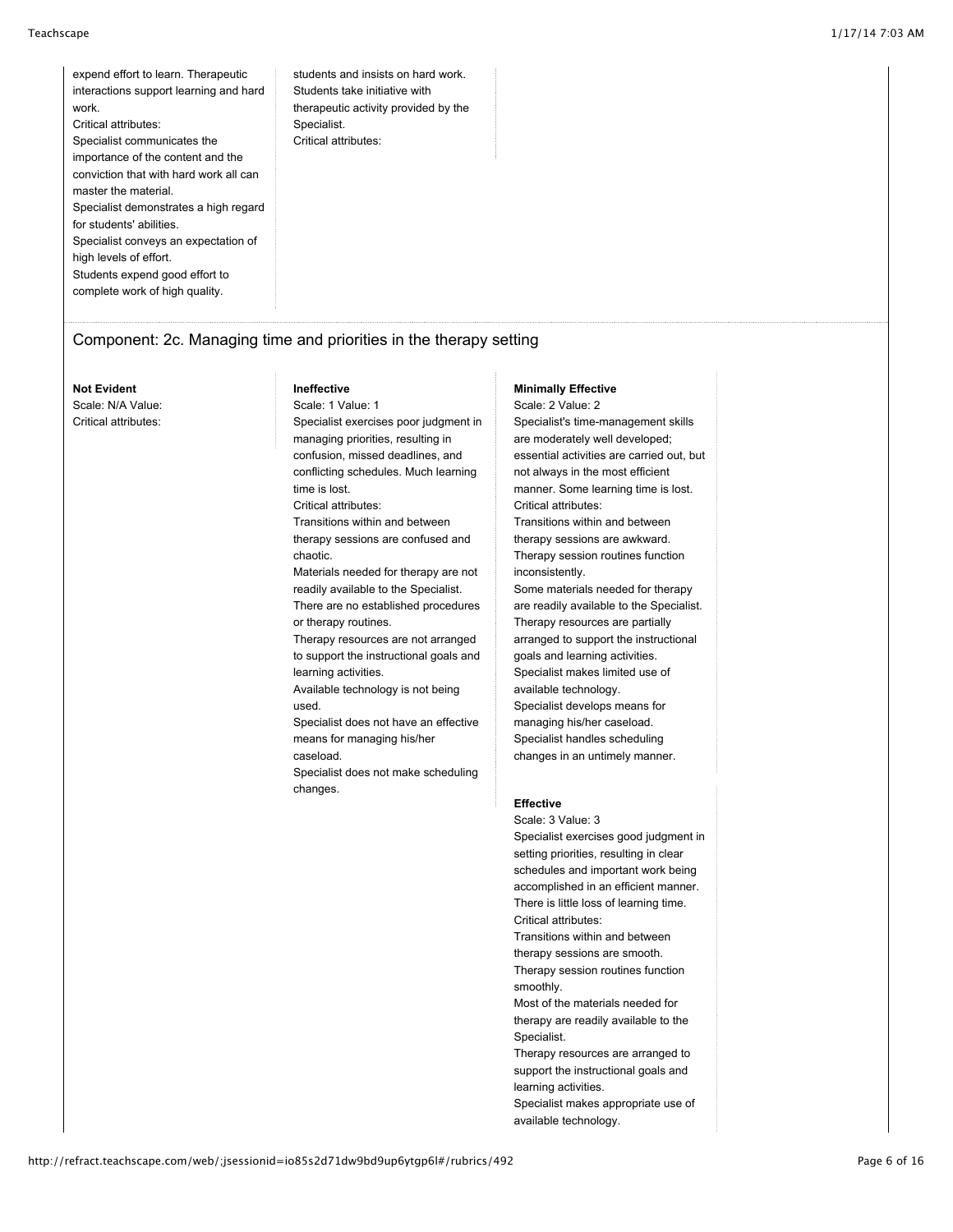work.

expend effort to learn. Therapeutic interactions support learning and hard Critical attributes: Specialist communicates the importance of the content and the conviction that with hard work all can master the material. Specialist demonstrates a high regard for students' abilities. students and insists on hard work. Students take initiative with therapeutic activity provided by the Specialist.

Critical attributes:

# Component: 2c. Managing time and priorities in the therapy setting

**Not Evident** Scale: N/A Value: Critical attributes:

high levels of effort.

Specialist conveys an expectation of

Students expend good effort to complete work of high quality.

## **Ineffective**

Scale: 1 Value: 1 Specialist exercises poor judgment in managing priorities, resulting in confusion, missed deadlines, and conflicting schedules. Much learning time is lost. Critical attributes:

Transitions within and between therapy sessions are confused and chaotic.

Materials needed for therapy are not readily available to the Specialist. There are no established procedures

or therapy routines. Therapy resources are not arranged to support the instructional goals and learning activities.

Available technology is not being used.

Specialist does not have an effective means for managing his/her caseload.

Specialist does not make scheduling changes.

### **Minimally Effective**

Scale: 2 Value: 2 Specialist's time-management skills are moderately well developed; essential activities are carried out, but not always in the most efficient manner. Some learning time is lost. Critical attributes:

Transitions within and between therapy sessions are awkward. Therapy session routines function inconsistently.

Some materials needed for therapy are readily available to the Specialist. Therapy resources are partially arranged to support the instructional goals and learning activities. Specialist makes limited use of available technology. Specialist develops means for managing his/her caseload. Specialist handles scheduling changes in an untimely manner.

#### **Effective**

Scale: 3 Value: 3 Specialist exercises good judgment in setting priorities, resulting in clear schedules and important work being accomplished in an efficient manner. There is little loss of learning time. Critical attributes:

Transitions within and between therapy sessions are smooth. Therapy session routines function smoothly.

Most of the materials needed for therapy are readily available to the Specialist.

Therapy resources are arranged to support the instructional goals and learning activities.

Specialist makes appropriate use of available technology.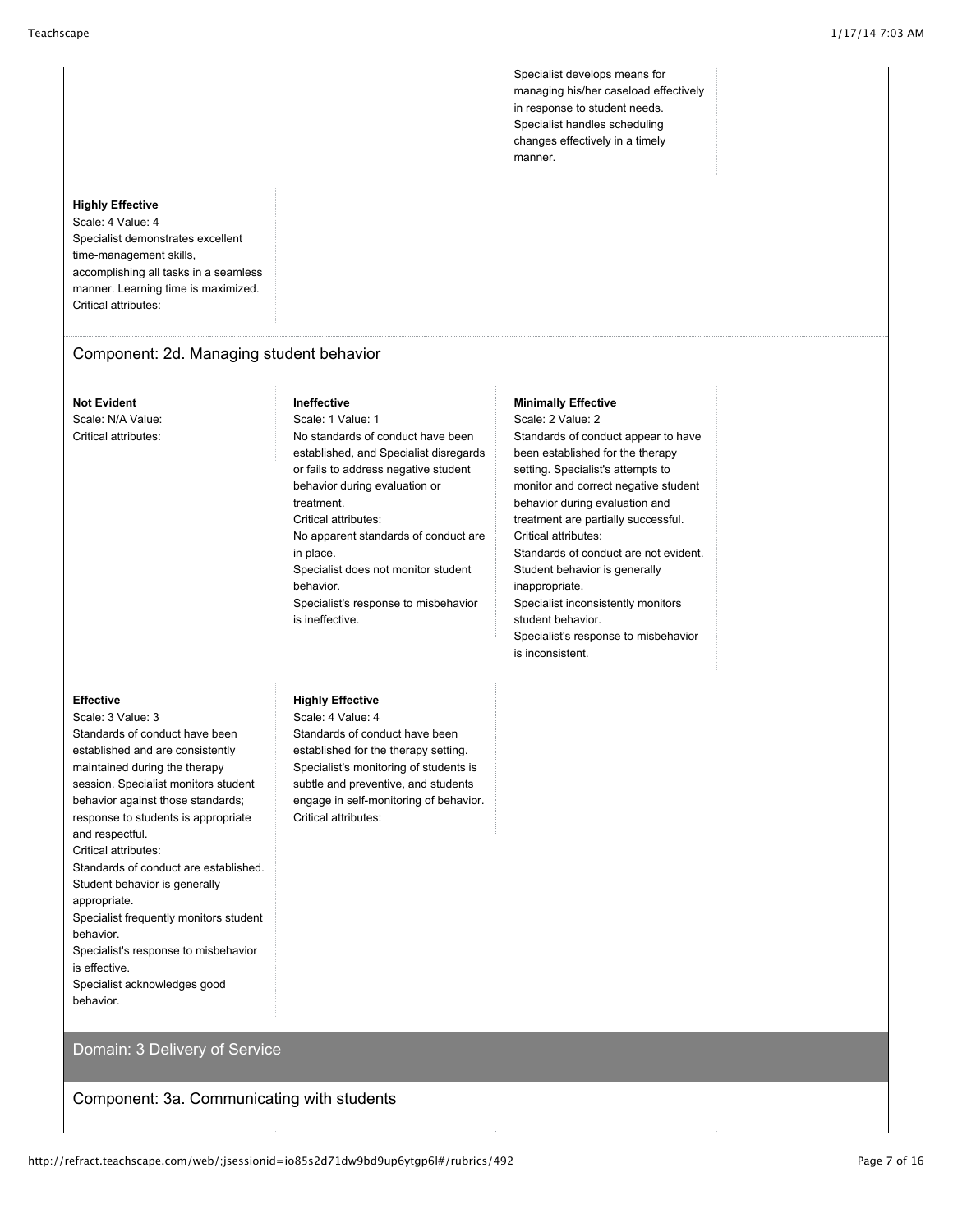Specialist develops means for managing his/her caseload effectively in response to student needs. Specialist handles scheduling changes effectively in a timely manner.

#### **Highly Effective**

Scale: 4 Value: 4 Specialist demonstrates excellent time-management skills, accomplishing all tasks in a seamless manner. Learning time is maximized. Critical attributes:

## Component: 2d. Managing student behavior

**Not Evident** Scale: N/A Value: Critical attributes:

### **Ineffective**

Scale: 1 Value: 1 No standards of conduct have been established, and Specialist disregards or fails to address negative student behavior during evaluation or treatment. Critical attributes: No apparent standards of conduct are in place. Specialist does not monitor student behavior. Specialist's response to misbehavior is ineffective.

### **Minimally Effective**

Scale: 2 Value: 2 Standards of conduct appear to have been established for the therapy setting. Specialist's attempts to monitor and correct negative student behavior during evaluation and treatment are partially successful. Critical attributes: Standards of conduct are not evident. Student behavior is generally inappropriate. Specialist inconsistently monitors student behavior. Specialist's response to misbehavior is inconsistent.

#### **Effective**

Scale: 3 Value: 3

Standards of conduct have been established and are consistently maintained during the therapy session. Specialist monitors student behavior against those standards; response to students is appropriate and respectful. Critical attributes: Standards of conduct are established. Student behavior is generally appropriate. Specialist frequently monitors student behavior. Specialist's response to misbehavior is effective. Specialist acknowledges good behavior.

### **Highly Effective**

Scale: 4 Value: 4 Standards of conduct have been established for the therapy setting. Specialist's monitoring of students is subtle and preventive, and students engage in self-monitoring of behavior. Critical attributes:

Domain: 3 Delivery of Service

Component: 3a. Communicating with students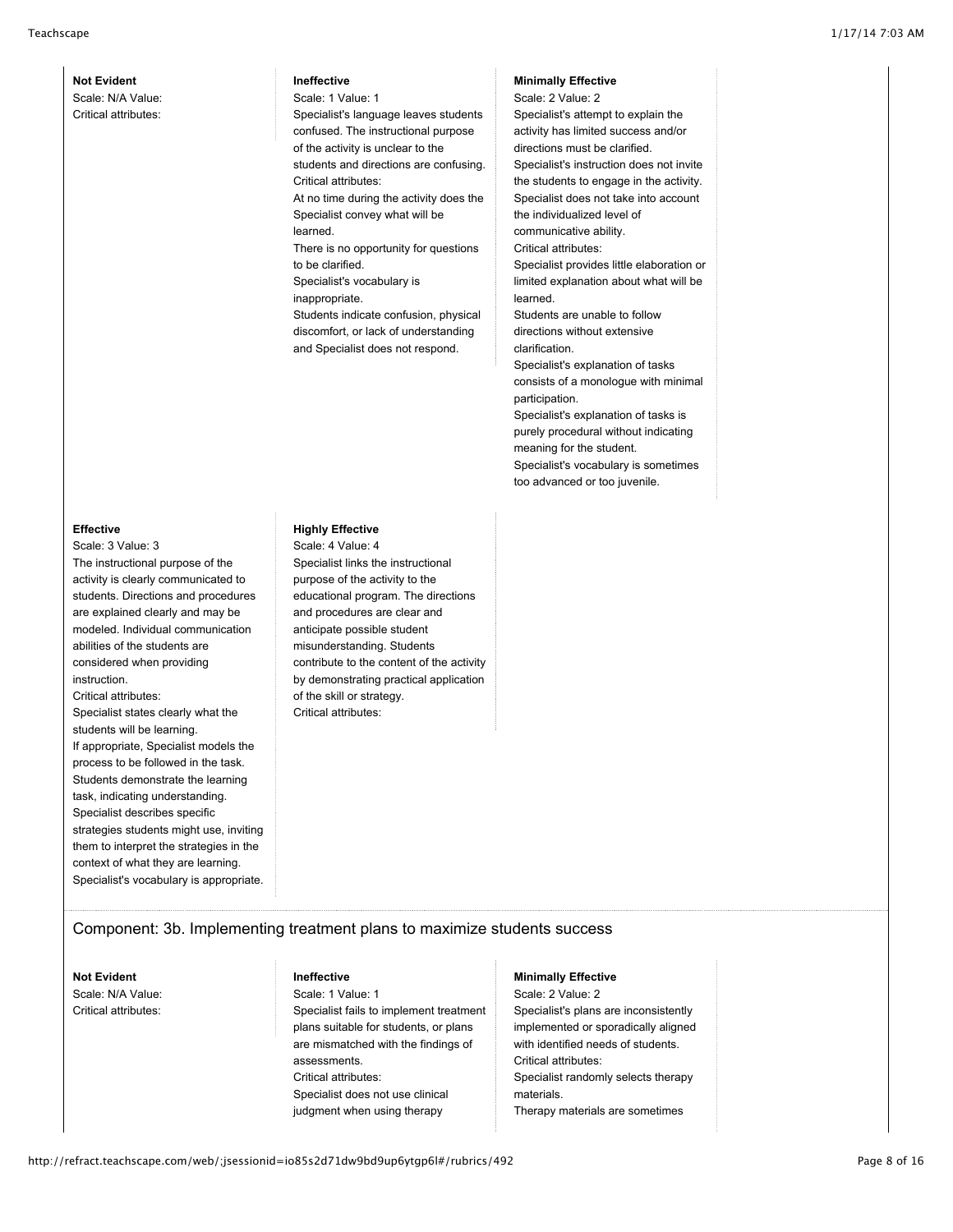#### Scale: 1 Value: 1

Specialist's language leaves students confused. The instructional purpose of the activity is unclear to the students and directions are confusing. Critical attributes: At no time during the activity does the Specialist convey what will be learned. There is no opportunity for questions to be clarified. Specialist's vocabulary is inappropriate. Students indicate confusion, physical discomfort, or lack of understanding and Specialist does not respond.

### **Minimally Effective**

Scale: 2 Value: 2

Specialist's attempt to explain the activity has limited success and/or directions must be clarified. Specialist's instruction does not invite the students to engage in the activity. Specialist does not take into account the individualized level of communicative ability.

Critical attributes:

Specialist provides little elaboration or limited explanation about what will be learned.

Students are unable to follow directions without extensive clarification.

Specialist's explanation of tasks consists of a monologue with minimal participation.

Specialist's explanation of tasks is purely procedural without indicating meaning for the student. Specialist's vocabulary is sometimes

too advanced or too juvenile.

### **Effective**

Scale: 3 Value: 3 The instructional purpose of the activity is clearly communicated to students. Directions and procedures are explained clearly and may be modeled. Individual communication abilities of the students are considered when providing instruction. Critical attributes: Specialist states clearly what the students will be learning. If appropriate, Specialist models the process to be followed in the task. Students demonstrate the learning task, indicating understanding. Specialist describes specific strategies students might use, inviting them to interpret the strategies in the context of what they are learning.

Specialist's vocabulary is appropriate.

### **Highly Effective**

Scale: 4 Value: 4 Specialist links the instructional purpose of the activity to the educational program. The directions and procedures are clear and anticipate possible student misunderstanding. Students contribute to the content of the activity by demonstrating practical application of the skill or strategy. Critical attributes:

Component: 3b. Implementing treatment plans to maximize students success

**Not Evident** Scale: N/A Value: Critical attributes:

#### **Ineffective**

Scale: 1 Value: 1 Specialist fails to implement treatment plans suitable for students, or plans are mismatched with the findings of assessments. Critical attributes: Specialist does not use clinical judgment when using therapy

# **Minimally Effective**

Scale: 2 Value: 2 Specialist's plans are inconsistently implemented or sporadically aligned with identified needs of students. Critical attributes: Specialist randomly selects therapy materials. Therapy materials are sometimes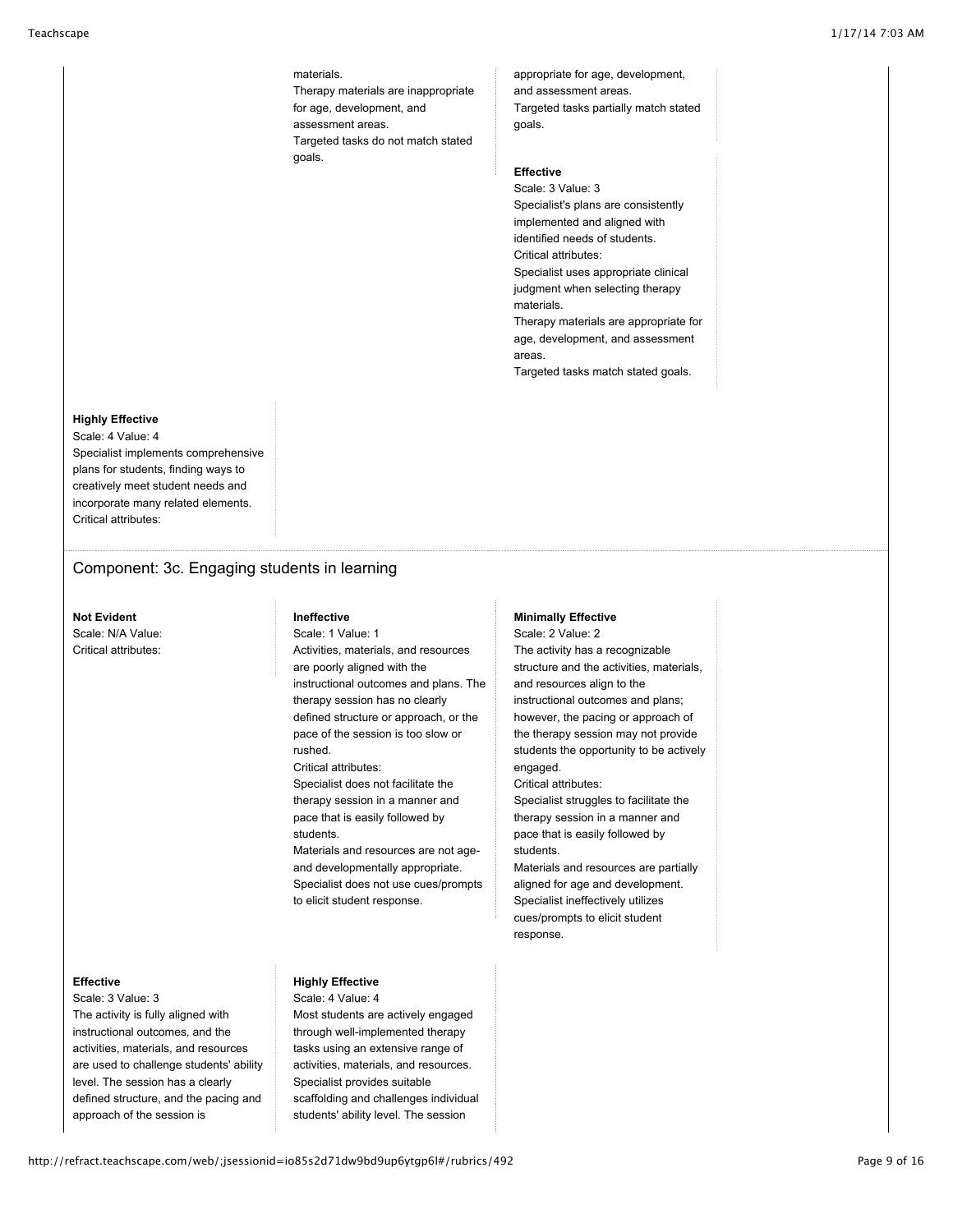materials.

Therapy materials are inappropriate for age, development, and assessment areas. Targeted tasks do not match stated goals.

appropriate for age, development, and assessment areas. Targeted tasks partially match stated goals.

#### **Effective**

Scale: 3 Value: 3 Specialist's plans are consistently implemented and aligned with identified needs of students. Critical attributes: Specialist uses appropriate clinical judgment when selecting therapy materials. Therapy materials are appropriate for age, development, and assessment areas.

Targeted tasks match stated goals.

### **Highly Effective** Scale: 4 Value: 4

Specialist implements comprehensive plans for students, finding ways to creatively meet student needs and incorporate many related elements. Critical attributes:

# Component: 3c. Engaging students in learning

### **Not Evident** Scale: N/A Value:

Critical attributes:

### **Ineffective** Scale: 1 Value: 1

Activities, materials, and resources are poorly aligned with the instructional outcomes and plans. The therapy session has no clearly defined structure or approach, or the pace of the session is too slow or rushed.

#### Critical attributes:

Specialist does not facilitate the therapy session in a manner and pace that is easily followed by students.

Materials and resources are not ageand developmentally appropriate. Specialist does not use cues/prompts to elicit student response.

## **Minimally Effective**

Scale: 2 Value: 2 The activity has a recognizable structure and the activities, materials, and resources align to the instructional outcomes and plans; however, the pacing or approach of the therapy session may not provide students the opportunity to be actively engaged.

Critical attributes: Specialist struggles to facilitate the therapy session in a manner and

pace that is easily followed by students.

Materials and resources are partially aligned for age and development. Specialist ineffectively utilizes cues/prompts to elicit student response.

#### **Effective**

Scale: 3 Value: 3 The activity is fully aligned with instructional outcomes, and the activities, materials, and resources are used to challenge students' ability level. The session has a clearly defined structure, and the pacing and approach of the session is

# **Highly Effective**

Scale: 4 Value: 4 Most students are actively engaged through well-implemented therapy tasks using an extensive range of activities, materials, and resources. Specialist provides suitable scaffolding and challenges individual students' ability level. The session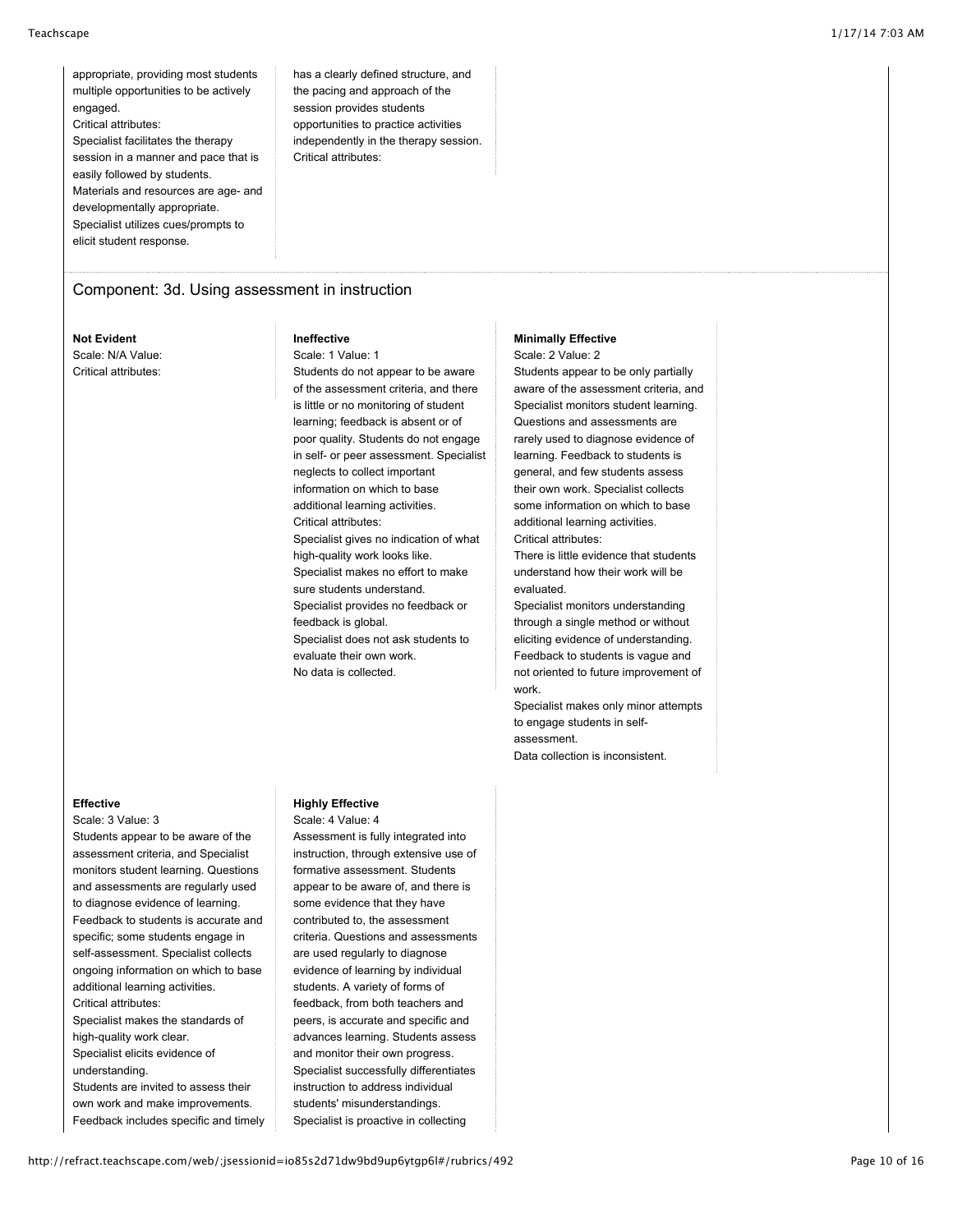appropriate, providing most students multiple opportunities to be actively engaged. Critical attributes: Specialist facilitates the therapy session in a manner and pace that is

easily followed by students. Materials and resources are age- and developmentally appropriate. Specialist utilizes cues/prompts to

elicit student response.

has a clearly defined structure, and the pacing and approach of the session provides students opportunities to practice activities independently in the therapy session. Critical attributes:

# Component: 3d. Using assessment in instruction

#### **Not Evident** Scale: N/A Value:

Critical attributes:

# **Ineffective**

Scale: 1 Value: 1 Students do not appear to be aware of the assessment criteria, and there is little or no monitoring of student learning; feedback is absent or of poor quality. Students do not engage in self- or peer assessment. Specialist neglects to collect important information on which to base additional learning activities. Critical attributes: Specialist gives no indication of what high-quality work looks like. Specialist makes no effort to make sure students understand. Specialist provides no feedback or feedback is global. Specialist does not ask students to evaluate their own work. No data is collected.

### **Minimally Effective**

Scale: 2 Value: 2 Students appear to be only partially aware of the assessment criteria, and Specialist monitors student learning. Questions and assessments are rarely used to diagnose evidence of learning. Feedback to students is general, and few students assess their own work. Specialist collects some information on which to base additional learning activities. Critical attributes:

There is little evidence that students understand how their work will be evaluated.

Specialist monitors understanding through a single method or without eliciting evidence of understanding. Feedback to students is vague and not oriented to future improvement of work.

Specialist makes only minor attempts to engage students in selfassessment. Data collection is inconsistent.

### **Effective**

Scale: 3 Value: 3 Students appear to be aware of the assessment criteria, and Specialist monitors student learning. Questions and assessments are regularly used to diagnose evidence of learning. Feedback to students is accurate and specific; some students engage in self-assessment. Specialist collects ongoing information on which to base additional learning activities. Critical attributes: Specialist makes the standards of high-quality work clear. Specialist elicits evidence of understanding. Students are invited to assess their own work and make improvements.

Feedback includes specific and timely

### **Highly Effective**

Scale: 4 Value: 4 Assessment is fully integrated into instruction, through extensive use of formative assessment. Students appear to be aware of, and there is some evidence that they have contributed to, the assessment criteria. Questions and assessments are used regularly to diagnose evidence of learning by individual students. A variety of forms of feedback, from both teachers and peers, is accurate and specific and advances learning. Students assess and monitor their own progress. Specialist successfully differentiates instruction to address individual students' misunderstandings. Specialist is proactive in collecting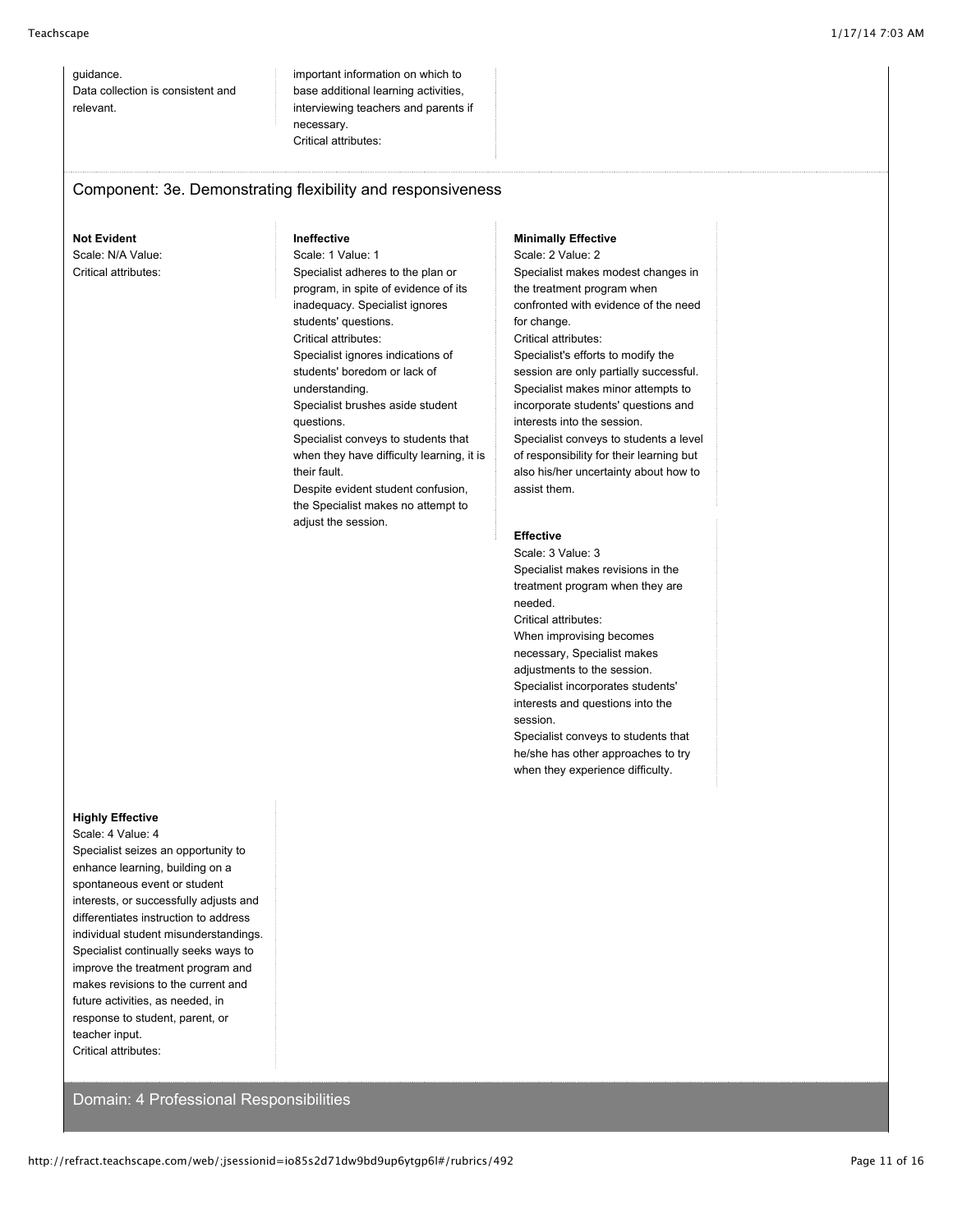guidance. Data collection is consistent and relevant.

important information on which to base additional learning activities, interviewing teachers and parents if necessary. Critical attributes:

# Component: 3e. Demonstrating flexibility and responsiveness

## **Not Evident**

Scale: N/A Value: Critical attributes:

Scale: 1 Value: 1 Specialist adheres to the plan or program, in spite of evidence of its inadequacy. Specialist ignores students' questions. Critical attributes: Specialist ignores indications of students' boredom or lack of understanding. Specialist brushes aside student questions. Specialist conveys to students that when they have difficulty learning, it is their fault. Despite evident student confusion, the Specialist makes no attempt to adjust the session.

#### **Minimally Effective**

Scale: 2 Value: 2 Specialist makes modest changes in the treatment program when confronted with evidence of the need for change. Critical attributes: Specialist's efforts to modify the session are only partially successful.

Specialist makes minor attempts to incorporate students' questions and interests into the session.

Specialist conveys to students a level of responsibility for their learning but also his/her uncertainty about how to assist them.

#### **Effective**

Scale: 3 Value: 3 Specialist makes revisions in the treatment program when they are needed.

Critical attributes: When improvising becomes necessary, Specialist makes adjustments to the session. Specialist incorporates students' interests and questions into the session.

Specialist conveys to students that he/she has other approaches to try when they experience difficulty.

Scale: 4 Value: 4

Specialist seizes an opportunity to enhance learning, building on a spontaneous event or student interests, or successfully adjusts and differentiates instruction to address individual student misunderstandings. Specialist continually seeks ways to improve the treatment program and makes revisions to the current and future activities, as needed, in response to student, parent, or teacher input. Critical attributes:

Domain: 4 Professional Responsibilities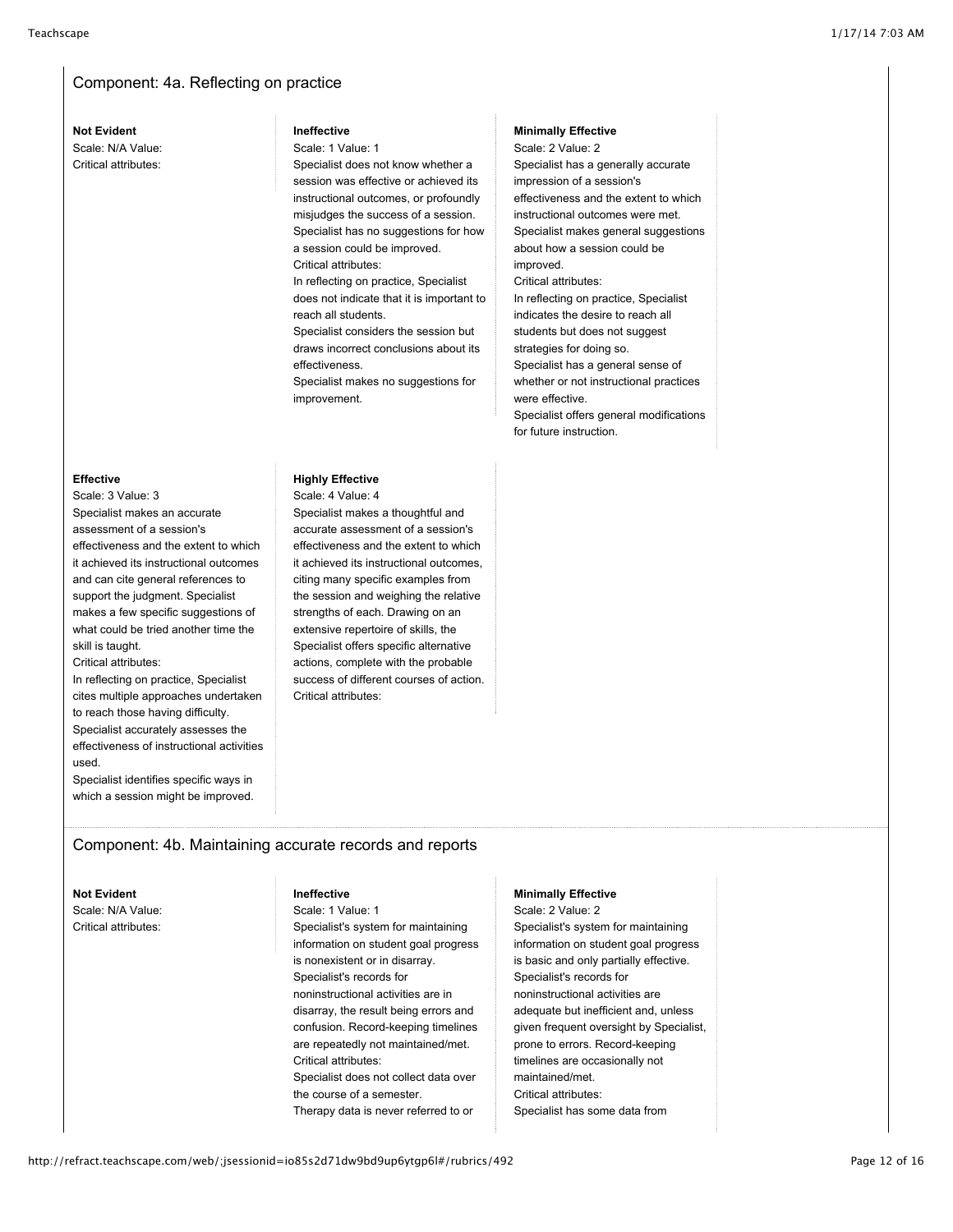# Component: 4a. Reflecting on practice

### **Not Evident** Scale: N/A Value: Critical attributes:

# **Ineffective**

Scale: 1 Value: 1

Specialist does not know whether a session was effective or achieved its instructional outcomes, or profoundly misjudges the success of a session. Specialist has no suggestions for how a session could be improved. Critical attributes: In reflecting on practice, Specialist does not indicate that it is important to reach all students.

Specialist considers the session but draws incorrect conclusions about its effectiveness.

Specialist makes no suggestions for improvement.

### **Effective**

Scale: 3 Value: 3 Specialist makes an accurate assessment of a session's effectiveness and the extent to which it achieved its instructional outcomes and can cite general references to support the judgment. Specialist makes a few specific suggestions of what could be tried another time the skill is taught.

Critical attributes: In reflecting on practice, Specialist cites multiple approaches undertaken to reach those having difficulty. Specialist accurately assesses the effectiveness of instructional activities

Specialist identifies specific ways in which a session might be improved.

### **Highly Effective**

Scale: 4 Value: 4 Specialist makes a thoughtful and accurate assessment of a session's effectiveness and the extent to which it achieved its instructional outcomes, citing many specific examples from the session and weighing the relative strengths of each. Drawing on an extensive repertoire of skills, the Specialist offers specific alternative actions, complete with the probable success of different courses of action. Critical attributes:

#### **Minimally Effective**

Scale: 2 Value: 2 Specialist has a generally accurate impression of a session's effectiveness and the extent to which instructional outcomes were met. Specialist makes general suggestions about how a session could be improved. Critical attributes: In reflecting on practice, Specialist indicates the desire to reach all students but does not suggest strategies for doing so. Specialist has a general sense of whether or not instructional practices were effective. Specialist offers general modifications for future instruction.

# Component: 4b. Maintaining accurate records and reports

#### **Not Evident** Scale: N/A Value: Critical attributes:

used.

# **Ineffective**

Scale: 1 Value: 1 Specialist's system for maintaining information on student goal progress is nonexistent or in disarray. Specialist's records for noninstructional activities are in disarray, the result being errors and confusion. Record-keeping timelines are repeatedly not maintained/met. Critical attributes: Specialist does not collect data over the course of a semester. Therapy data is never referred to or

#### **Minimally Effective**

Scale: 2 Value: 2 Specialist's system for maintaining information on student goal progress is basic and only partially effective. Specialist's records for noninstructional activities are adequate but inefficient and, unless given frequent oversight by Specialist, prone to errors. Record-keeping timelines are occasionally not maintained/met. Critical attributes: Specialist has some data from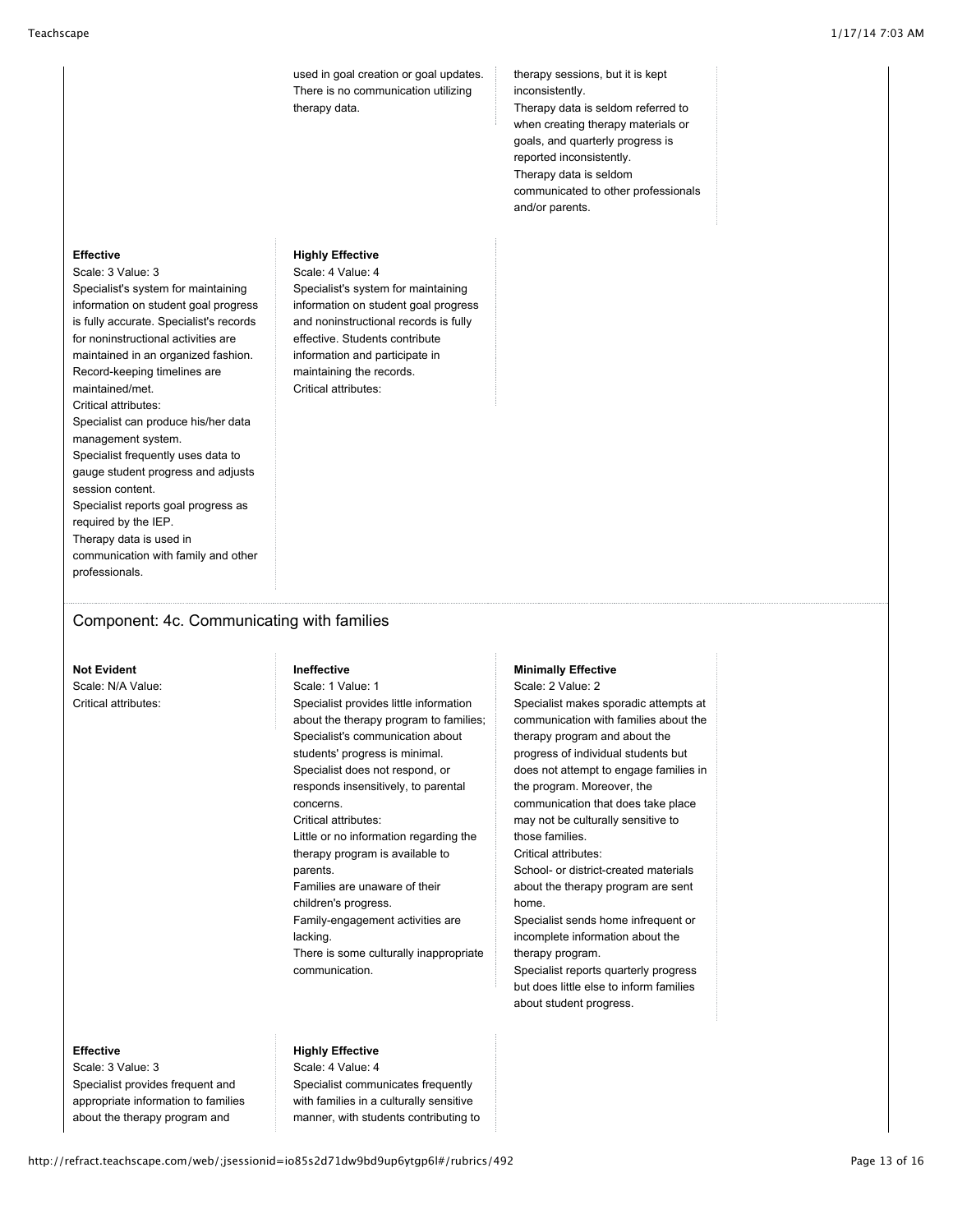used in goal creation or goal updates. There is no communication utilizing therapy data.

therapy sessions, but it is kept inconsistently. Therapy data is seldom referred to when creating therapy materials or goals, and quarterly progress is reported inconsistently. Therapy data is seldom communicated to other professionals and/or parents.

### **Effective**

Scale: 3 Value: 3 Specialist's system for maintaining information on student goal progress is fully accurate. Specialist's records for noninstructional activities are maintained in an organized fashion. Record-keeping timelines are maintained/met. Critical attributes: Specialist can produce his/her data management system. Specialist frequently uses data to gauge student progress and adjusts session content. Specialist reports goal progress as required by the IEP. Therapy data is used in

communication with family and other professionals.

#### **Highly Effective**

Scale: 4 Value: 4 Specialist's system for maintaining information on student goal progress and noninstructional records is fully effective. Students contribute information and participate in maintaining the records. Critical attributes:

## Component: 4c. Communicating with families

# **Not Evident**

Scale: N/A Value: Critical attributes:

# **Ineffective**

Scale: 1 Value: 1 Specialist provides little information about the therapy program to families; Specialist's communication about students' progress is minimal. Specialist does not respond, or responds insensitively, to parental concerns. Critical attributes: Little or no information regarding the therapy program is available to parents. Families are unaware of their children's progress. Family-engagement activities are lacking. There is some culturally inappropriate communication.

### **Minimally Effective**

about student progress.

Scale: 2 Value: 2 Specialist makes sporadic attempts at communication with families about the therapy program and about the progress of individual students but does not attempt to engage families in the program. Moreover, the communication that does take place may not be culturally sensitive to those families. Critical attributes: School- or district-created materials about the therapy program are sent home. Specialist sends home infrequent or incomplete information about the therapy program. Specialist reports quarterly progress but does little else to inform families

### **Effective**

Scale: 3 Value: 3 Specialist provides frequent and appropriate information to families about the therapy program and

# **Highly Effective**

Scale: 4 Value: 4 Specialist communicates frequently with families in a culturally sensitive manner, with students contributing to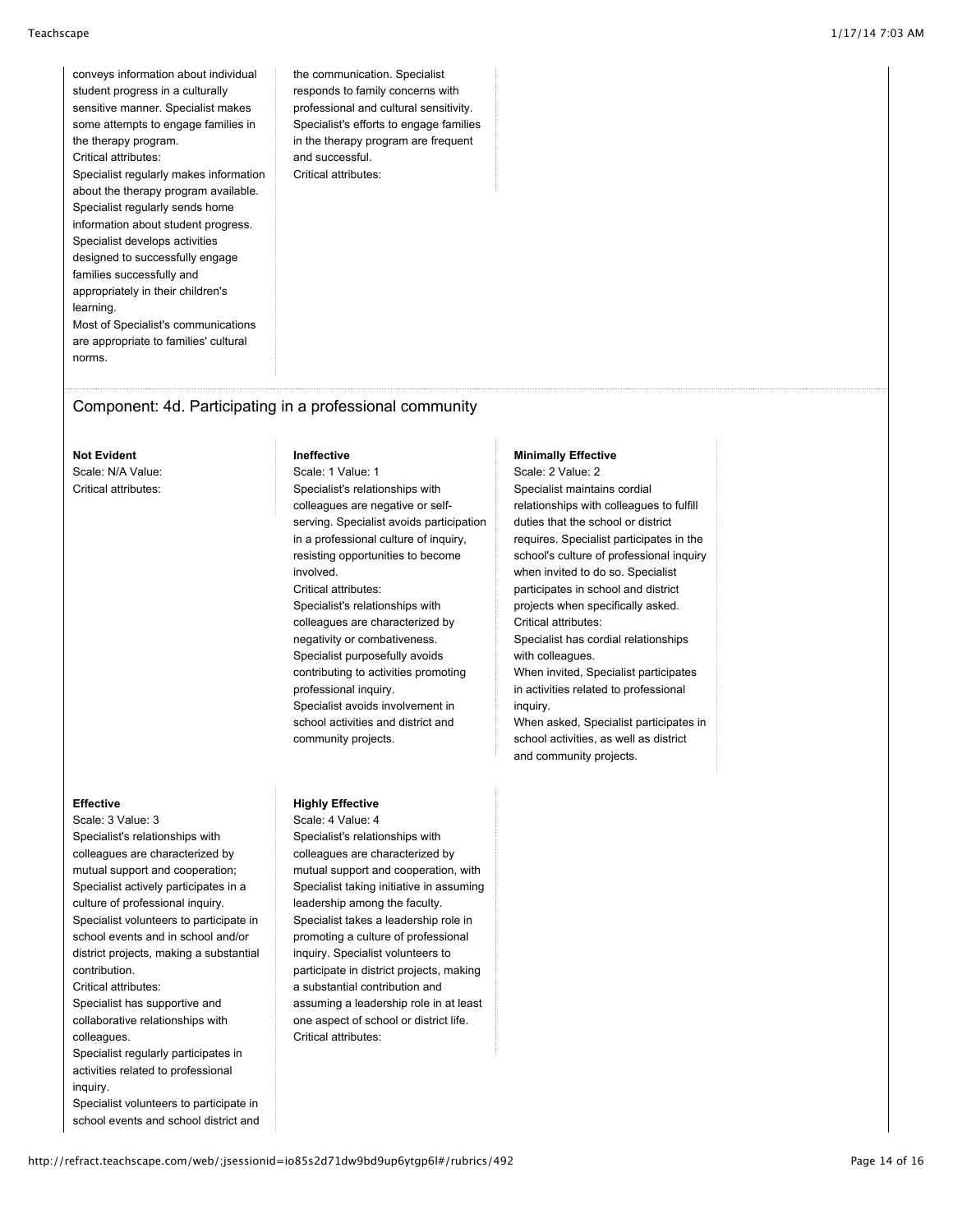conveys information about individual student progress in a culturally sensitive manner. Specialist makes some attempts to engage families in the therapy program. Critical attributes: Specialist regularly makes information about the therapy program available. Specialist regularly sends home information about student progress. Specialist develops activities designed to successfully engage families successfully and appropriately in their children's learning. Most of Specialist's communications are appropriate to families' cultural norms.

the communication. Specialist responds to family concerns with professional and cultural sensitivity. Specialist's efforts to engage families in the therapy program are frequent and successful. Critical attributes:

# Component: 4d. Participating in a professional community

**Not Evident** Scale: N/A Value: Critical attributes:

#### **Ineffective**

Scale: 1 Value: 1 Specialist's relationships with colleagues are negative or selfserving. Specialist avoids participation in a professional culture of inquiry, resisting opportunities to become involved. Critical attributes: Specialist's relationships with colleagues are characterized by negativity or combativeness. Specialist purposefully avoids contributing to activities promoting professional inquiry. Specialist avoids involvement in school activities and district and community projects.

### **Minimally Effective**

Scale: 2 Value: 2 Specialist maintains cordial relationships with colleagues to fulfill duties that the school or district requires. Specialist participates in the school's culture of professional inquiry when invited to do so. Specialist participates in school and district projects when specifically asked. Critical attributes: Specialist has cordial relationships with colleagues. When invited, Specialist participates in activities related to professional inquiry.

When asked, Specialist participates in school activities, as well as district and community projects.

### **Effective**

Scale: 3 Value: 3 Specialist's relationships with colleagues are characterized by mutual support and cooperation; Specialist actively participates in a culture of professional inquiry. Specialist volunteers to participate in school events and in school and/or district projects, making a substantial contribution. Critical attributes:

Specialist has supportive and collaborative relationships with colleagues.

Specialist regularly participates in activities related to professional inquiry.

Specialist volunteers to participate in school events and school district and

### **Highly Effective**

Scale: 4 Value: 4 Specialist's relationships with colleagues are characterized by mutual support and cooperation, with Specialist taking initiative in assuming leadership among the faculty. Specialist takes a leadership role in promoting a culture of professional inquiry. Specialist volunteers to participate in district projects, making a substantial contribution and assuming a leadership role in at least one aspect of school or district life. Critical attributes: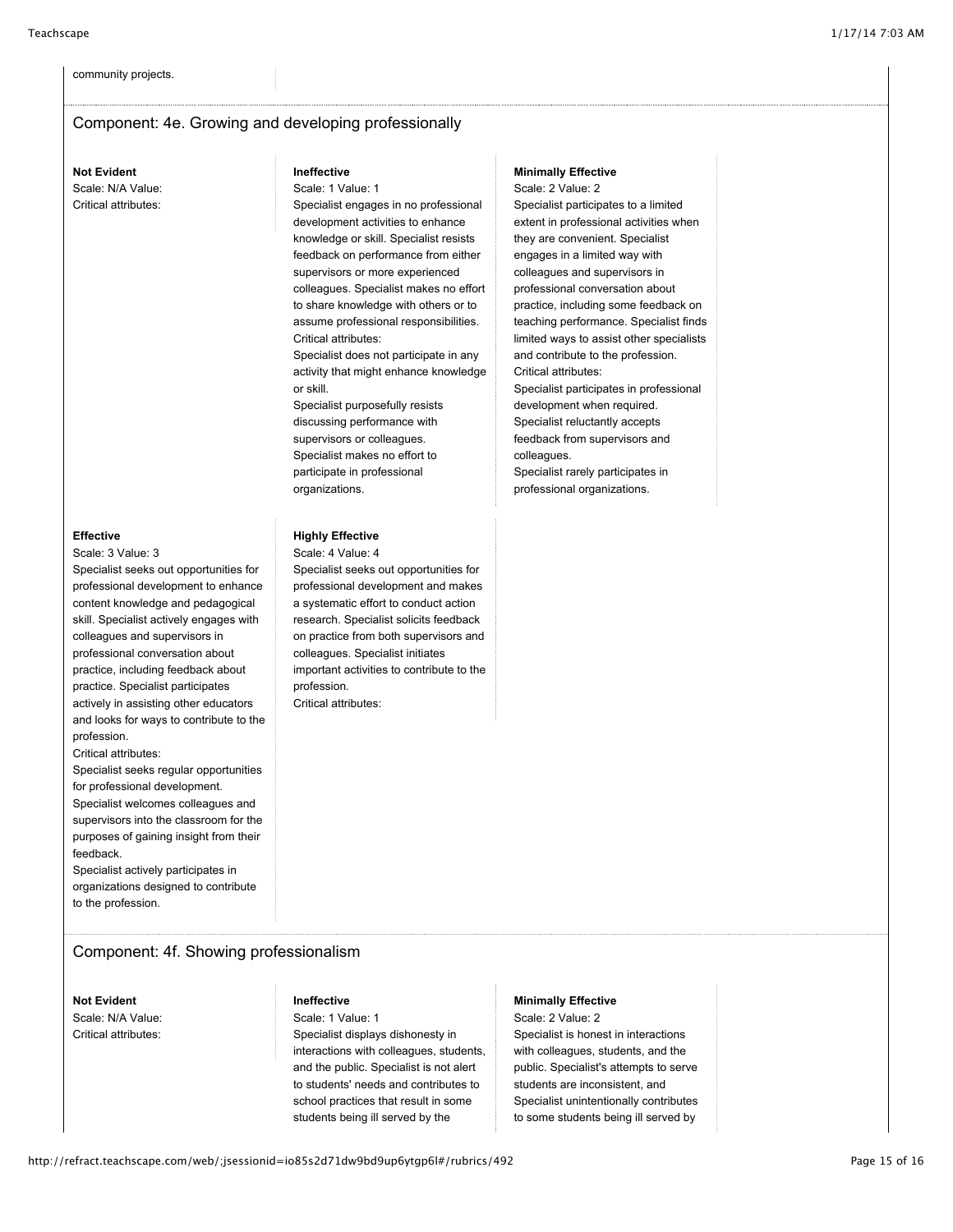# community projects.

### Component: 4e. Growing and developing professionally

### **Not Evident** Scale: N/A Value: Critical attributes:

#### **Effective**

Scale: 3 Value: 3

Specialist seeks out opportunities for professional development to enhance content knowledge and pedagogical skill. Specialist actively engages with colleagues and supervisors in professional conversation about practice, including feedback about practice. Specialist participates actively in assisting other educators and looks for ways to contribute to the profession.

Critical attributes:

Specialist seeks regular opportunities for professional development. Specialist welcomes colleagues and supervisors into the classroom for the purposes of gaining insight from their feedback.

Specialist actively participates in organizations designed to contribute to the profession.

## **Ineffective**

Scale: 1 Value: 1

Specialist engages in no professional development activities to enhance knowledge or skill. Specialist resists feedback on performance from either supervisors or more experienced colleagues. Specialist makes no effort to share knowledge with others or to assume professional responsibilities. Critical attributes:

Specialist does not participate in any activity that might enhance knowledge or skill.

Specialist purposefully resists discussing performance with supervisors or colleagues. Specialist makes no effort to participate in professional organizations.

### **Highly Effective**

Scale: 4 Value: 4 Specialist seeks out opportunities for professional development and makes a systematic effort to conduct action research. Specialist solicits feedback on practice from both supervisors and colleagues. Specialist initiates

important activities to contribute to the profession. Critical attributes:

### **Minimally Effective**

Scale: 2 Value: 2 Specialist participates to a limited extent in professional activities when they are convenient. Specialist engages in a limited way with colleagues and supervisors in professional conversation about practice, including some feedback on teaching performance. Specialist finds limited ways to assist other specialists and contribute to the profession. Critical attributes: Specialist participates in professional development when required. Specialist reluctantly accepts feedback from supervisors and colleagues.

Specialist rarely participates in professional organizations.

# Component: 4f. Showing professionalism

### **Not Evident** Scale: N/A Value: Critical attributes:

# **Ineffective**

Scale: 1 Value: 1 Specialist displays dishonesty in interactions with colleagues, students, and the public. Specialist is not alert to students' needs and contributes to school practices that result in some students being ill served by the

### **Minimally Effective**

Scale: 2 Value: 2 Specialist is honest in interactions with colleagues, students, and the public. Specialist's attempts to serve students are inconsistent, and Specialist unintentionally contributes to some students being ill served by